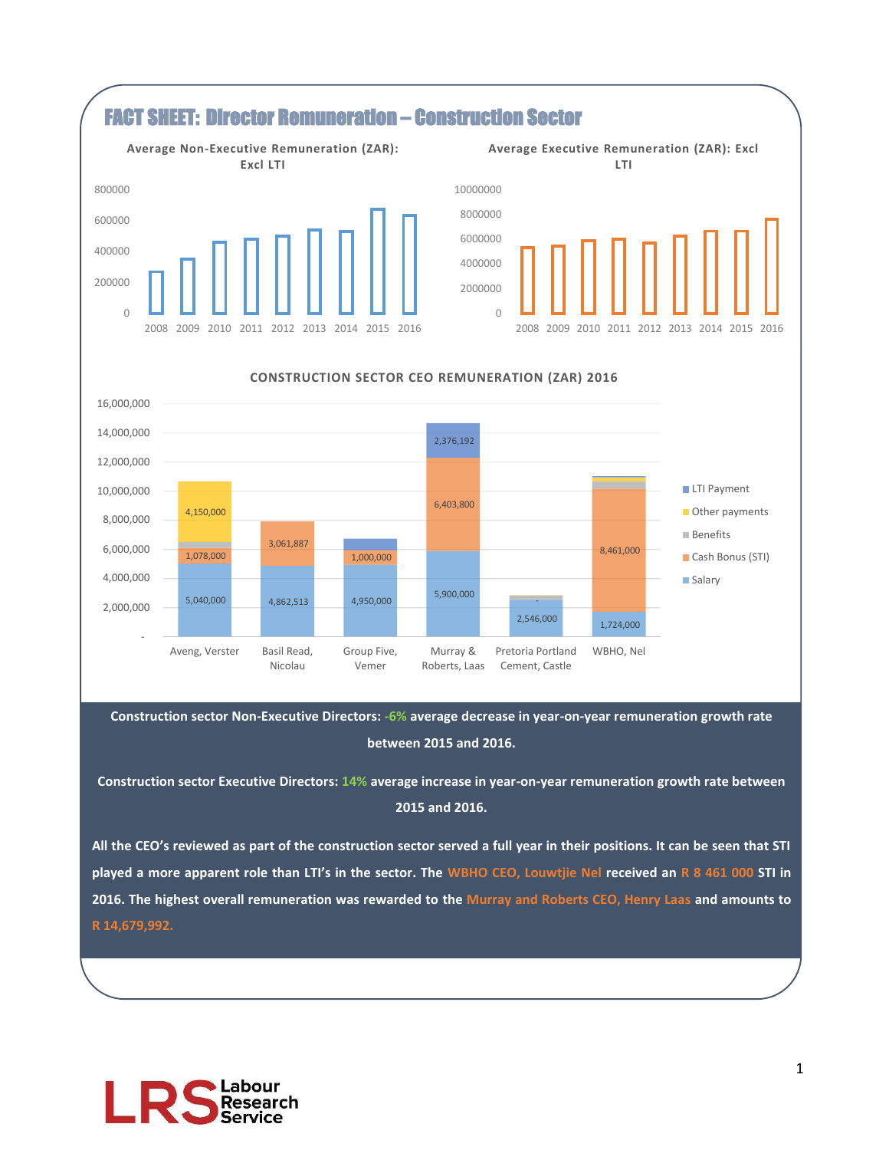

**Construction sector Non-Executive Directors: -6% average decrease in year-on-year remuneration growth rate between 2015 and 2016.**

**Construction sector Executive Directors: 14% average increase in year-on-year remuneration growth rate between 2015 and 2016.**

**All the CEO's reviewed as part of the construction sector served a full year in their positions. It can be seen that STI played a more apparent role than LTI's in the sector. The WBHO CEO, Louwtjie Nel received an R 8 461 000 STI in 2016. The highest overall remuneration was rewarded to the Murray and Roberts CEO, Henry Laas and amounts to R 14,679,992.**